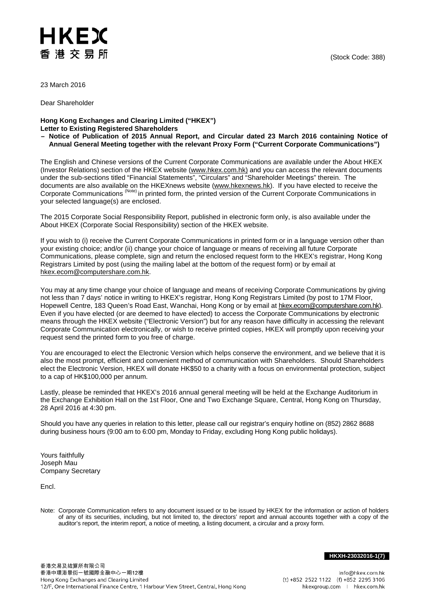23 March 2016

Dear Shareholder

## **Hong Kong Exchanges and Clearing Limited ("HKEX") Letter to Existing Registered Shareholders**

**– Notice of Publication of 2015 Annual Report, and Circular dated 23 March 2016 containing Notice of Annual General Meeting together with the relevant Proxy Form ("Current Corporate Communications")** 

The English and Chinese versions of the Current Corporate Communications are available under the About HKEX (Investor Relations) section of the HKEX website [\(www.hkex.com.hk\)](http://www.hkex.com.hk/) and you can access the relevant documents under the sub-sections titled "Financial Statements", "Circulars" and "Shareholder Meetings" therein. The documents are also available on the HKEXnews website (<u>www.hkexnews.hk</u>). If you have elected to receive the Corporate Communications <sup>(Note)</sup> in printed form, the printed version of the Current Corporate Communications in your selected language(s) are enclosed.

The 2015 Corporate Social Responsibility Report, published in electronic form only, is also available under the About HKEX (Corporate Social Responsibility) section of the HKEX website.

If you wish to (i) receive the Current Corporate Communications in printed form or in a language version other than your existing choice; and/or (ii) change your choice of language or means of receiving all future Corporate Communications, please complete, sign and return the enclosed request form to the HKEX's registrar, Hong Kong Registrars Limited by post (using the mailing label at the bottom of the request form) or by email at [hkex.ecom@computershare.com.hk.](mailto:hkex.ecom@computershare.com.hk)

You may at any time change your choice of language and means of receiving Corporate Communications by giving not less than 7 days' notice in writing to HKEX's registrar, Hong Kong Registrars Limited (by post to 17M Floor, Hopewell Centre, 183 Queen's Road East, Wanchai, Hong Kong or by email at [hkex.ecom@computershare.com.hk\)](mailto:hkex.ecom@computershare.com.hk). Even if you have elected (or are deemed to have elected) to access the Corporate Communications by electronic means through the HKEX website ("Electronic Version") but for any reason have difficulty in accessing the relevant Corporate Communication electronically, or wish to receive printed copies, HKEX will promptly upon receiving your request send the printed form to you free of charge.

You are encouraged to elect the Electronic Version which helps conserve the environment, and we believe that it is also the most prompt, efficient and convenient method of communication with Shareholders. Should Shareholders elect the Electronic Version, HKEX will donate HK\$50 to a charity with a focus on environmental protection, subject to a cap of HK\$100,000 per annum.

Lastly, please be reminded that HKEX's 2016 annual general meeting will be held at the Exchange Auditorium in the Exchange Exhibition Hall on the 1st Floor, One and Two Exchange Square, Central, Hong Kong on Thursday, 28 April 2016 at 4:30 pm.

Should you have any queries in relation to this letter, please call our registrar's enquiry hotline on (852) 2862 8688 during business hours (9:00 am to 6:00 pm, Monday to Friday, excluding Hong Kong public holidays).

Yours faithfully Joseph Mau Company Secretary

Encl.

Note: Corporate Communication refers to any document issued or to be issued by HKEX for the information or action of holders of any of its securities, including, but not limited to, the directors' report and annual accounts together with a copy of the auditor's report, the interim report, a notice of meeting, a listing document, a circular and a proxy form.

## **HKXH-23032016-1(7)**